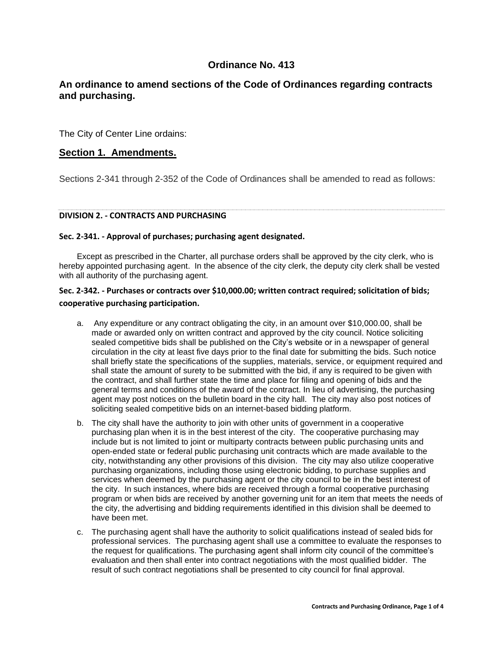# **Ordinance No. 413**

# **An ordinance to amend sections of the Code of Ordinances regarding contracts and purchasing.**

The City of Center Line ordains:

## **Section 1. Amendments.**

Sections 2-341 through 2-352 of the Code of Ordinances shall be amended to read as follows:

## **DIVISION 2. - CONTRACTS AND PURCHASING**

## **Sec. 2-341. - Approval of purchases; purchasing agent designated.**

Except as prescribed in the Charter, all purchase orders shall be approved by the city clerk, who is hereby appointed purchasing agent. In the absence of the city clerk, the deputy city clerk shall be vested with all authority of the purchasing agent.

## **Sec. 2-342. - Purchases or contracts over \$10,000.00; written contract required; solicitation of bids; cooperative purchasing participation.**

- a. Any expenditure or any contract obligating the city, in an amount over \$10,000.00, shall be made or awarded only on written contract and approved by the city council. Notice soliciting sealed competitive bids shall be published on the City's website or in a newspaper of general circulation in the city at least five days prior to the final date for submitting the bids. Such notice shall briefly state the specifications of the supplies, materials, service, or equipment required and shall state the amount of surety to be submitted with the bid, if any is required to be given with the contract, and shall further state the time and place for filing and opening of bids and the general terms and conditions of the award of the contract. In lieu of advertising, the purchasing agent may post notices on the bulletin board in the city hall. The city may also post notices of soliciting sealed competitive bids on an internet-based bidding platform.
- b. The city shall have the authority to join with other units of government in a cooperative purchasing plan when it is in the best interest of the city. The cooperative purchasing may include but is not limited to joint or multiparty contracts between public purchasing units and open-ended state or federal public purchasing unit contracts which are made available to the city, notwithstanding any other provisions of this division. The city may also utilize cooperative purchasing organizations, including those using electronic bidding, to purchase supplies and services when deemed by the purchasing agent or the city council to be in the best interest of the city. In such instances, where bids are received through a formal cooperative purchasing program or when bids are received by another governing unit for an item that meets the needs of the city, the advertising and bidding requirements identified in this division shall be deemed to have been met.
- c. The purchasing agent shall have the authority to solicit qualifications instead of sealed bids for professional services. The purchasing agent shall use a committee to evaluate the responses to the request for qualifications. The purchasing agent shall inform city council of the committee's evaluation and then shall enter into contract negotiations with the most qualified bidder. The result of such contract negotiations shall be presented to city council for final approval.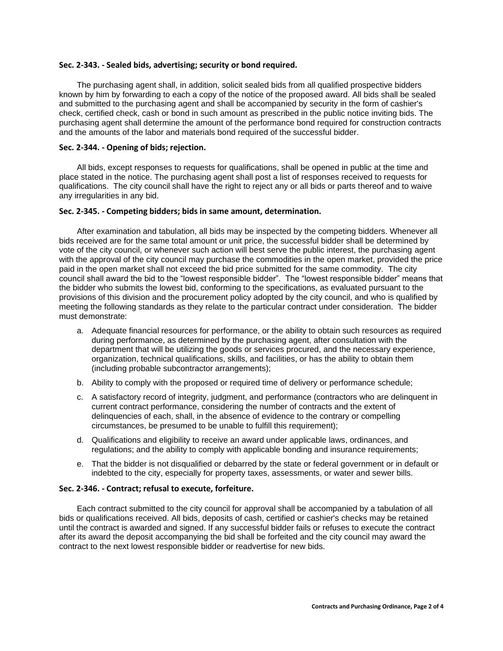#### **Sec. 2-343. - Sealed bids, advertising; security or bond required.**

The purchasing agent shall, in addition, solicit sealed bids from all qualified prospective bidders known by him by forwarding to each a copy of the notice of the proposed award. All bids shall be sealed and submitted to the purchasing agent and shall be accompanied by security in the form of cashier's check, certified check, cash or bond in such amount as prescribed in the public notice inviting bids. The purchasing agent shall determine the amount of the performance bond required for construction contracts and the amounts of the labor and materials bond required of the successful bidder.

### **Sec. 2-344. - Opening of bids; rejection.**

All bids, except responses to requests for qualifications, shall be opened in public at the time and place stated in the notice. The purchasing agent shall post a list of responses received to requests for qualifications. The city council shall have the right to reject any or all bids or parts thereof and to waive any irregularities in any bid.

#### **Sec. 2-345. - Competing bidders; bids in same amount, determination.**

After examination and tabulation, all bids may be inspected by the competing bidders. Whenever all bids received are for the same total amount or unit price, the successful bidder shall be determined by vote of the city council, or whenever such action will best serve the public interest, the purchasing agent with the approval of the city council may purchase the commodities in the open market, provided the price paid in the open market shall not exceed the bid price submitted for the same commodity. The city council shall award the bid to the "lowest responsible bidder". The "lowest responsible bidder" means that the bidder who submits the lowest bid, conforming to the specifications, as evaluated pursuant to the provisions of this division and the procurement policy adopted by the city council, and who is qualified by meeting the following standards as they relate to the particular contract under consideration. The bidder must demonstrate:

- a. Adequate financial resources for performance, or the ability to obtain such resources as required during performance, as determined by the purchasing agent, after consultation with the department that will be utilizing the goods or services procured, and the necessary experience, organization, technical qualifications, skills, and facilities, or has the ability to obtain them (including probable subcontractor arrangements);
- b. Ability to comply with the proposed or required time of delivery or performance schedule;
- c. A satisfactory record of integrity, judgment, and performance (contractors who are delinquent in current contract performance, considering the number of contracts and the extent of delinquencies of each, shall, in the absence of evidence to the contrary or compelling circumstances, be presumed to be unable to fulfill this requirement);
- d. Qualifications and eligibility to receive an award under applicable laws, ordinances, and regulations; and the ability to comply with applicable bonding and insurance requirements;
- e. That the bidder is not disqualified or debarred by the state or federal government or in default or indebted to the city, especially for property taxes, assessments, or water and sewer bills.

### **Sec. 2-346. - Contract; refusal to execute, forfeiture.**

Each contract submitted to the city council for approval shall be accompanied by a tabulation of all bids or qualifications received. All bids, deposits of cash, certified or cashier's checks may be retained until the contract is awarded and signed. If any successful bidder fails or refuses to execute the contract after its award the deposit accompanying the bid shall be forfeited and the city council may award the contract to the next lowest responsible bidder or readvertise for new bids.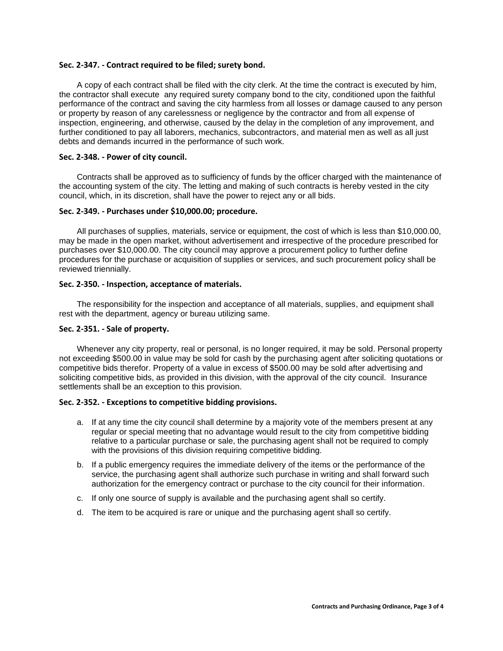#### **Sec. 2-347. - Contract required to be filed; surety bond.**

A copy of each contract shall be filed with the city clerk. At the time the contract is executed by him, the contractor shall execute any required surety company bond to the city, conditioned upon the faithful performance of the contract and saving the city harmless from all losses or damage caused to any person or property by reason of any carelessness or negligence by the contractor and from all expense of inspection, engineering, and otherwise, caused by the delay in the completion of any improvement, and further conditioned to pay all laborers, mechanics, subcontractors, and material men as well as all just debts and demands incurred in the performance of such work.

#### **Sec. 2-348. - Power of city council.**

Contracts shall be approved as to sufficiency of funds by the officer charged with the maintenance of the accounting system of the city. The letting and making of such contracts is hereby vested in the city council, which, in its discretion, shall have the power to reject any or all bids.

#### **Sec. 2-349. - Purchases under \$10,000.00; procedure.**

All purchases of supplies, materials, service or equipment, the cost of which is less than \$10,000.00, may be made in the open market, without advertisement and irrespective of the procedure prescribed for purchases over \$10,000.00. The city council may approve a procurement policy to further define procedures for the purchase or acquisition of supplies or services, and such procurement policy shall be reviewed triennially.

#### **Sec. 2-350. - Inspection, acceptance of materials.**

The responsibility for the inspection and acceptance of all materials, supplies, and equipment shall rest with the department, agency or bureau utilizing same.

#### **Sec. 2-351. - Sale of property.**

Whenever any city property, real or personal, is no longer required, it may be sold. Personal property not exceeding \$500.00 in value may be sold for cash by the purchasing agent after soliciting quotations or competitive bids therefor. Property of a value in excess of \$500.00 may be sold after advertising and soliciting competitive bids, as provided in this division, with the approval of the city council. Insurance settlements shall be an exception to this provision.

## **Sec. 2-352. - Exceptions to competitive bidding provisions.**

- a. If at any time the city council shall determine by a majority vote of the members present at any regular or special meeting that no advantage would result to the city from competitive bidding relative to a particular purchase or sale, the purchasing agent shall not be required to comply with the provisions of this division requiring competitive bidding.
- b. If a public emergency requires the immediate delivery of the items or the performance of the service, the purchasing agent shall authorize such purchase in writing and shall forward such authorization for the emergency contract or purchase to the city council for their information.
- c. If only one source of supply is available and the purchasing agent shall so certify.
- d. The item to be acquired is rare or unique and the purchasing agent shall so certify.